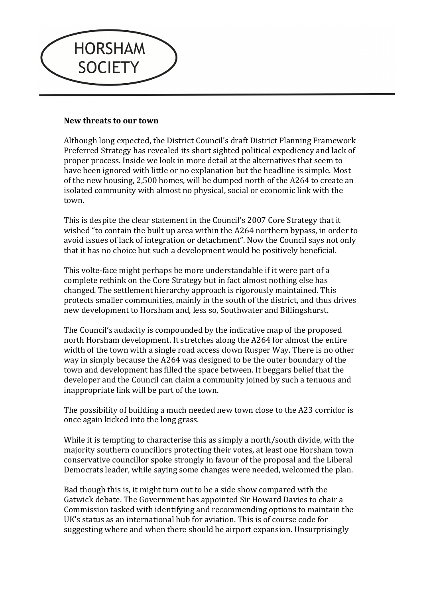

## **New threats to our town**

Although long expected, the District Council's draft District Planning Framework Preferred Strategy has revealed its short sighted political expediency and lack of proper process. Inside we look in more detail at the alternatives that seem to have been ignored with little or no explanation but the headline is simple. Most of the new housing, 2,500 homes, will be dumped north of the A264 to create an isolated community with almost no physical, social or economic link with the town.

This is despite the clear statement in the Council's 2007 Core Strategy that it wished "to contain the built up area within the A264 northern bypass, in order to avoid issues of lack of integration or detachment". Now the Council says not only that it has no choice but such a development would be positively beneficial.

This volte-face might perhaps be more understandable if it were part of a complete rethink on the Core Strategy but in fact almost nothing else has changed. The settlement hierarchy approach is rigorously maintained. This protects smaller communities, mainly in the south of the district, and thus drives new development to Horsham and, less so, Southwater and Billingshurst.

The Council's audacity is compounded by the indicative map of the proposed north Horsham development. It stretches along the A264 for almost the entire width of the town with a single road access down Rusper Way. There is no other way in simply because the A264 was designed to be the outer boundary of the town and development has filled the space between. It beggars belief that the developer and the Council can claim a community joined by such a tenuous and inappropriate link will be part of the town.

The possibility of building a much needed new town close to the A23 corridor is once again kicked into the long grass.

While it is tempting to characterise this as simply a north/south divide, with the majority southern councillors protecting their votes, at least one Horsham town conservative councillor spoke strongly in favour of the proposal and the Liberal Democrats leader, while saying some changes were needed, welcomed the plan.

Bad though this is, it might turn out to be a side show compared with the Gatwick debate. The Government has appointed Sir Howard Davies to chair a Commission tasked with identifying and recommending options to maintain the UK's status as an international hub for aviation. This is of course code for suggesting where and when there should be airport expansion. Unsurprisingly